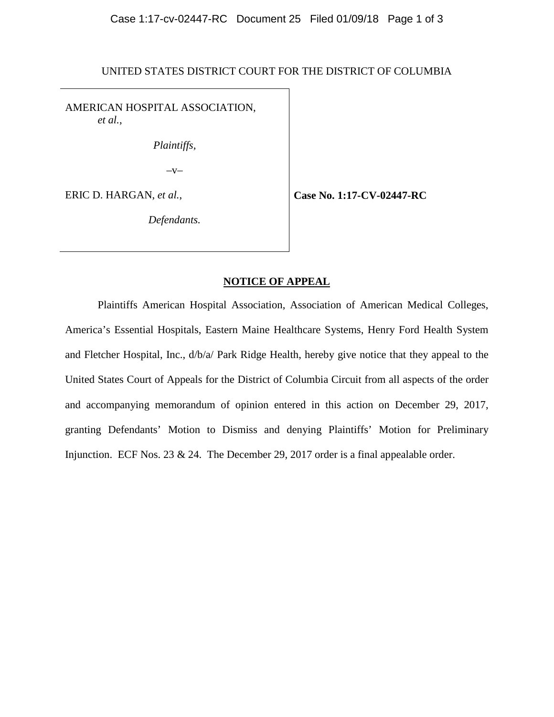UNITED STATES DISTRICT COURT FOR THE DISTRICT OF COLUMBIA

AMERICAN HOSPITAL ASSOCIATION, *et al.*,

*Plaintiffs,* 

 $-V-$ 

ERIC D. HARGAN, *et al.*,

**Case No. 1:17-CV-02447-RC**

*Defendants.* 

## **NOTICE OF APPEAL**

Plaintiffs American Hospital Association, Association of American Medical Colleges, America's Essential Hospitals, Eastern Maine Healthcare Systems, Henry Ford Health System and Fletcher Hospital, Inc., d/b/a/ Park Ridge Health, hereby give notice that they appeal to the United States Court of Appeals for the District of Columbia Circuit from all aspects of the order and accompanying memorandum of opinion entered in this action on December 29, 2017, granting Defendants' Motion to Dismiss and denying Plaintiffs' Motion for Preliminary Injunction. ECF Nos. 23 & 24. The December 29, 2017 order is a final appealable order.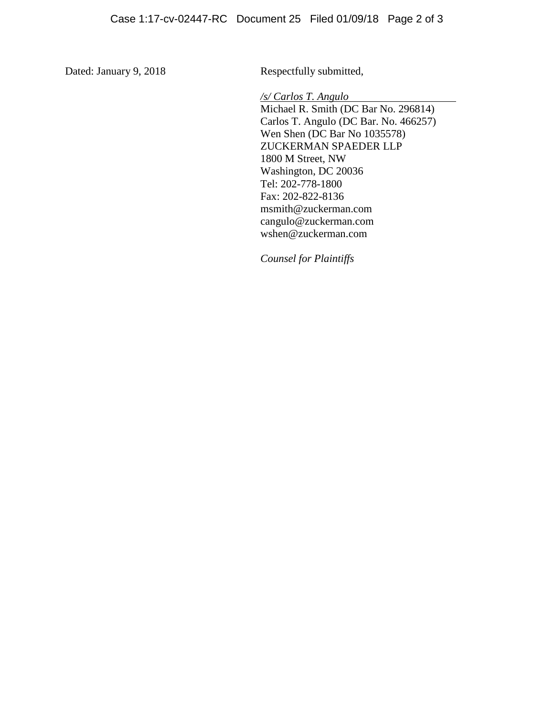Dated: January 9, 2018 Respectfully submitted,

*/s/ Carlos T. Angulo*

Michael R. Smith (DC Bar No. 296814) Carlos T. Angulo (DC Bar. No. 466257) Wen Shen (DC Bar No 1035578) ZUCKERMAN SPAEDER LLP 1800 M Street, NW Washington, DC 20036 Tel: 202-778-1800 Fax: 202-822-8136 msmith@zuckerman.com cangulo@zuckerman.com wshen@zuckerman.com

*Counsel for Plaintiffs*